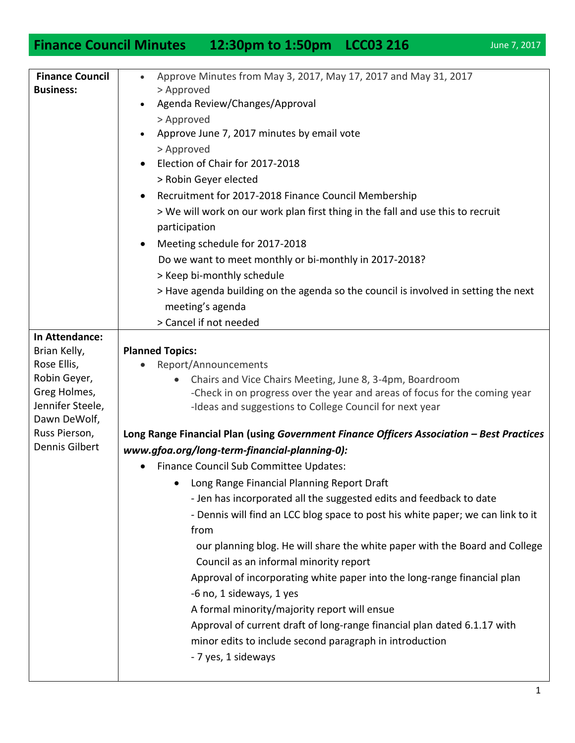## **Finance Council Minutes 12:30pm to 1:50pm LCC03 216** June 7, 2017

| <b>Finance Council</b>           | Approve Minutes from May 3, 2017, May 17, 2017 and May 31, 2017<br>$\bullet$              |
|----------------------------------|-------------------------------------------------------------------------------------------|
| <b>Business:</b>                 | > Approved                                                                                |
|                                  | Agenda Review/Changes/Approval                                                            |
|                                  | > Approved                                                                                |
|                                  | Approve June 7, 2017 minutes by email vote                                                |
|                                  | > Approved                                                                                |
|                                  | Election of Chair for 2017-2018                                                           |
|                                  | > Robin Geyer elected                                                                     |
|                                  | Recruitment for 2017-2018 Finance Council Membership                                      |
|                                  | > We will work on our work plan first thing in the fall and use this to recruit           |
|                                  | participation                                                                             |
|                                  | Meeting schedule for 2017-2018                                                            |
|                                  | Do we want to meet monthly or bi-monthly in 2017-2018?                                    |
|                                  | > Keep bi-monthly schedule                                                                |
|                                  | > Have agenda building on the agenda so the council is involved in setting the next       |
|                                  | meeting's agenda                                                                          |
|                                  | > Cancel if not needed                                                                    |
| In Attendance:                   |                                                                                           |
| Brian Kelly,                     | <b>Planned Topics:</b>                                                                    |
| Rose Ellis,                      | Report/Announcements                                                                      |
| Robin Geyer,                     | Chairs and Vice Chairs Meeting, June 8, 3-4pm, Boardroom                                  |
| Greg Holmes,<br>Jennifer Steele, | -Check in on progress over the year and areas of focus for the coming year                |
| Dawn DeWolf,                     | -Ideas and suggestions to College Council for next year                                   |
| Russ Pierson,                    | Long Range Financial Plan (using Government Finance Officers Association - Best Practices |
| Dennis Gilbert                   | www.gfoa.org/long-term-financial-planning-0):                                             |
|                                  | Finance Council Sub Committee Updates:<br>$\bullet$                                       |
|                                  | Long Range Financial Planning Report Draft<br>٠                                           |
|                                  | - Jen has incorporated all the suggested edits and feedback to date                       |
|                                  |                                                                                           |
|                                  | - Dennis will find an LCC blog space to post his white paper; we can link to it<br>from   |
|                                  | our planning blog. He will share the white paper with the Board and College               |
|                                  | Council as an informal minority report                                                    |
|                                  | Approval of incorporating white paper into the long-range financial plan                  |
|                                  |                                                                                           |
|                                  | -6 no, 1 sideways, 1 yes                                                                  |
|                                  | A formal minority/majority report will ensue                                              |
|                                  | Approval of current draft of long-range financial plan dated 6.1.17 with                  |
|                                  | minor edits to include second paragraph in introduction                                   |
|                                  | - 7 yes, 1 sideways                                                                       |
|                                  |                                                                                           |